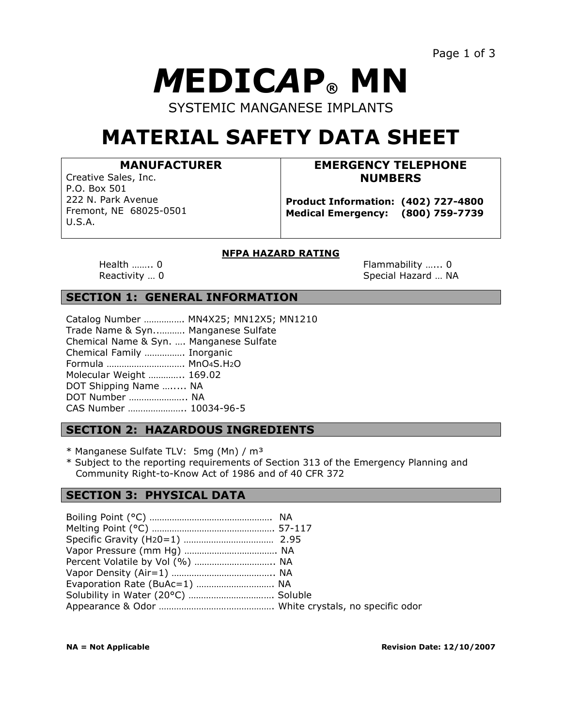# *M***EDIC***A***P® MN**

SYSTEMIC MANGANESE IMPLANTS

## **MATERIAL SAFETY DATA SHEET**

#### **MANUFACTURER**

Creative Sales, Inc. P.O. Box 501 222 N. Park Avenue Fremont, NE 68025-0501 U.S.A.

#### **EMERGENCY TELEPHONE NUMBERS**

**Product Information: (402) 727-4800 Medical Emergency: (800) 759-7739**

#### **NFPA HAZARD RATING**

Health …….. 0 **Flammability** …… 0 Reactivity ... 0 Special Hazard ... NA

#### **SECTION 1: GENERAL INFORMATION**

|                                         | Catalog Number  MN4X25; MN12X5; MN1210 |
|-----------------------------------------|----------------------------------------|
| Trade Name & Syn Manganese Sulfate      |                                        |
| Chemical Name & Syn.  Manganese Sulfate |                                        |
| Chemical Family  Inorganic              |                                        |
| Formula  MnO4S.H2O                      |                                        |
| Molecular Weight  169.02                |                                        |
| DOT Shipping Name  NA                   |                                        |
| DOT Number  NA                          |                                        |
| CAS Number  10034-96-5                  |                                        |
|                                         |                                        |

#### **SECTION 2: HAZARDOUS INGREDIENTS**

\* Manganese Sulfate TLV: 5mg (Mn) / m³

\* Subject to the reporting requirements of Section 313 of the Emergency Planning and Community Right-to-Know Act of 1986 and of 40 CFR 372 

#### **SECTION 3: PHYSICAL DATA**

| Percent Volatile by Vol (%)  NA |  |
|---------------------------------|--|
|                                 |  |
| Evaporation Rate (BuAc=1)  NA   |  |
|                                 |  |
|                                 |  |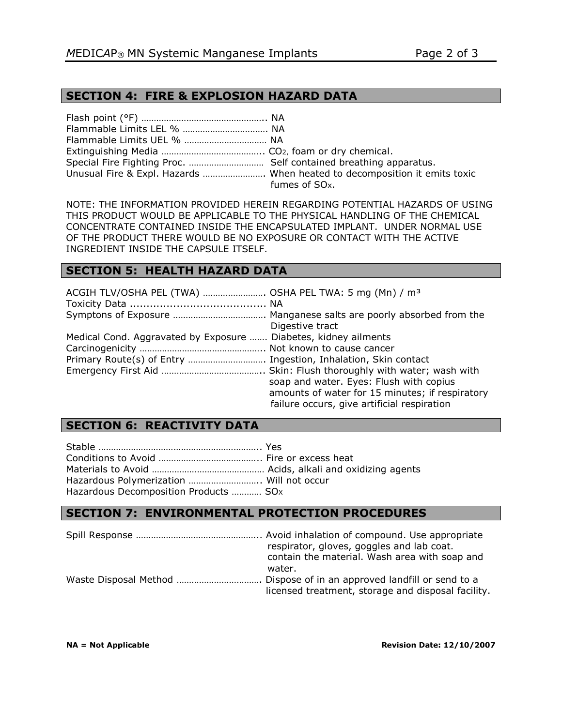#### **SECTION 4: FIRE & EXPLOSION HAZARD DATA**

| Unusual Fire & Expl. Hazards  When heated to decomposition it emits toxic |
|---------------------------------------------------------------------------|
| fumes of SO <sub>x</sub> .                                                |

NOTE: THE INFORMATION PROVIDED HEREIN REGARDING POTENTIAL HAZARDS OF USING THIS PRODUCT WOULD BE APPLICABLE TO THE PHYSICAL HANDLING OF THE CHEMICAL CONCENTRATE CONTAINED INSIDE THE ENCAPSULATED IMPLANT. UNDER NORMAL USE OF THE PRODUCT THERE WOULD BE NO EXPOSURE OR CONTACT WITH THE ACTIVE INGREDIENT INSIDE THE CAPSULE ITSELF.

### **SECTION 5: HEALTH HAZARD DATA**

| ACGIH TLV/OSHA PEL (TWA)  OSHA PEL TWA: 5 mg (Mn) / m <sup>3</sup> |                                                                                                                                           |
|--------------------------------------------------------------------|-------------------------------------------------------------------------------------------------------------------------------------------|
| Digestive tract                                                    |                                                                                                                                           |
| Medical Cond. Aggravated by Exposure  Diabetes, kidney ailments    | soap and water. Eyes: Flush with copius<br>amounts of water for 15 minutes; if respiratory<br>failure occurs, give artificial respiration |

#### **SECTION 6: REACTIVITY DATA**

| Hazardous Polymerization  Will not occur |  |
|------------------------------------------|--|
| Hazardous Decomposition Products  SOx    |  |

#### **SECTION 7: ENVIRONMENTAL PROTECTION PROCEDURES**

| water. | respirator, gloves, goggles and lab coat.<br>contain the material. Wash area with soap and |
|--------|--------------------------------------------------------------------------------------------|
|        |                                                                                            |
|        | licensed treatment, storage and disposal facility.                                         |